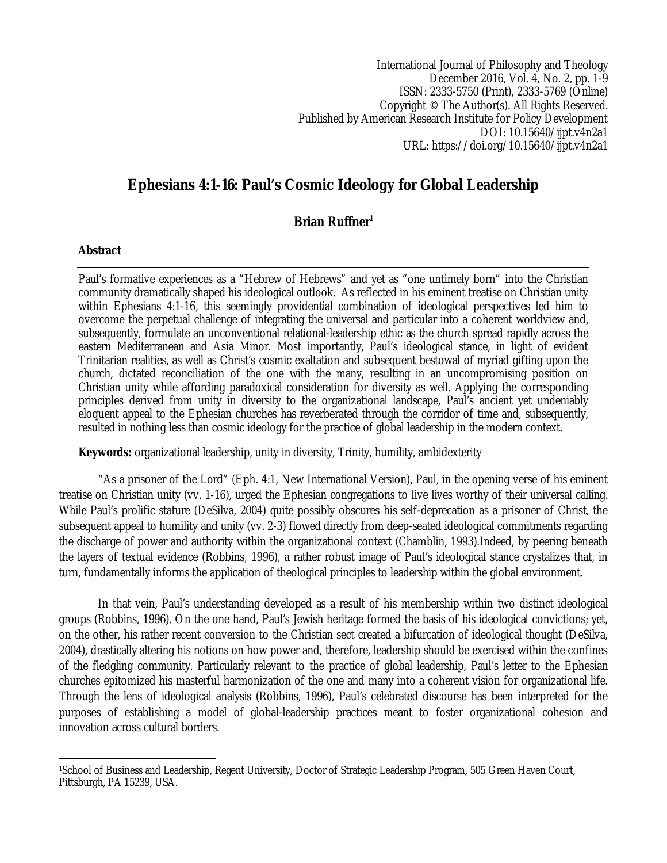International Journal of Philosophy and Theology December 2016, Vol. 4, No. 2, pp. 1-9 ISSN: 2333-5750 (Print), 2333-5769 (Online) Copyright © The Author(s). All Rights Reserved. Published by American Research Institute for Policy Development DOI: 10.15640/ijpt.v4n2a1 URL: https://doi.org/10.15640/ijpt.v4n2a1

# **Ephesians 4:1-16: Paul's Cosmic Ideology for Global Leadership**

# **Brian Ruffner<sup>1</sup>**

# **Abstract**

Paul's formative experiences as a "Hebrew of Hebrews" and yet as "one untimely born" into the Christian community dramatically shaped his ideological outlook. As reflected in his eminent treatise on Christian unity within Ephesians 4:1-16, this seemingly providential combination of ideological perspectives led him to overcome the perpetual challenge of integrating the universal and particular into a coherent worldview and, subsequently, formulate an unconventional relational-leadership ethic as the church spread rapidly across the eastern Mediterranean and Asia Minor. Most importantly, Paul's ideological stance, in light of evident Trinitarian realities, as well as Christ's cosmic exaltation and subsequent bestowal of myriad gifting upon the church, dictated reconciliation of the one with the many, resulting in an uncompromising position on Christian unity while affording paradoxical consideration for diversity as well. Applying the corresponding principles derived from unity in diversity to the organizational landscape, Paul's ancient yet undeniably eloquent appeal to the Ephesian churches has reverberated through the corridor of time and, subsequently, resulted in nothing less than cosmic ideology for the practice of global leadership in the modern context.

**Keywords:** organizational leadership, unity in diversity, Trinity, humility, ambidexterity

"As a prisoner of the Lord" (Eph. 4:1, New International Version), Paul, in the opening verse of his eminent treatise on Christian unity (vv. 1-16), urged the Ephesian congregations to live lives worthy of their universal calling. While Paul's prolific stature (DeSilva, 2004) quite possibly obscures his self-deprecation as a prisoner of Christ, the subsequent appeal to humility and unity (vv. 2-3) flowed directly from deep-seated ideological commitments regarding the discharge of power and authority within the organizational context (Chamblin, 1993).Indeed, by peering beneath the layers of textual evidence (Robbins, 1996), a rather robust image of Paul's ideological stance crystalizes that, in turn, fundamentally informs the application of theological principles to leadership within the global environment.

In that vein, Paul's understanding developed as a result of his membership within two distinct ideological groups (Robbins, 1996). On the one hand, Paul's Jewish heritage formed the basis of his ideological convictions; yet, on the other, his rather recent conversion to the Christian sect created a bifurcation of ideological thought (DeSilva, 2004), drastically altering his notions on how power and, therefore, leadership should be exercised within the confines of the fledgling community. Particularly relevant to the practice of global leadership, Paul's letter to the Ephesian churches epitomized his masterful harmonization of the one and many into a coherent vision for organizational life. Through the lens of ideological analysis (Robbins, 1996), Paul's celebrated discourse has been interpreted for the purposes of establishing a model of global-leadership practices meant to foster organizational cohesion and innovation across cultural borders.

 $\overline{a}$ <sup>1</sup>School of Business and Leadership, Regent University, Doctor of Strategic Leadership Program, 505 Green Haven Court, Pittsburgh, PA 15239, USA.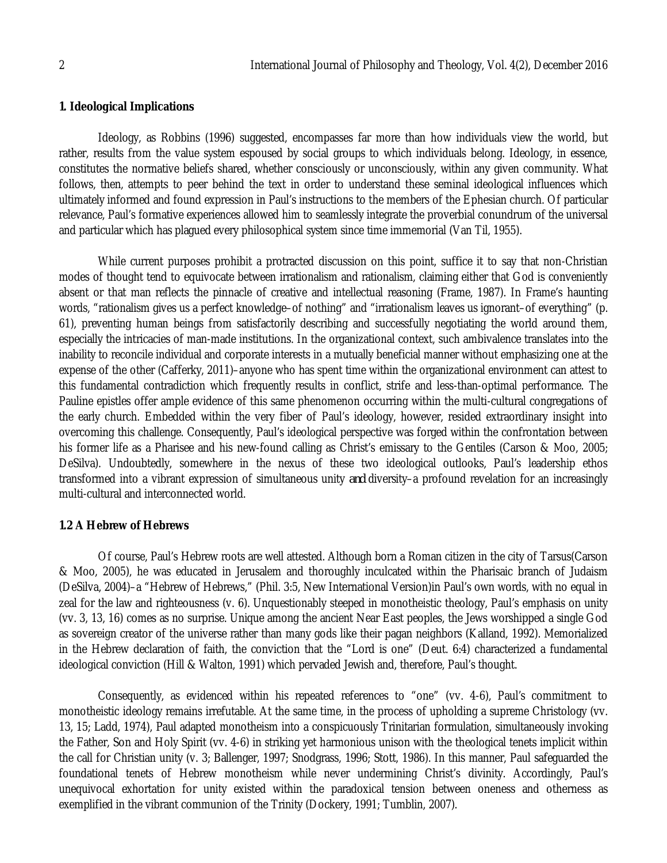## **1. Ideological Implications**

Ideology, as Robbins (1996) suggested, encompasses far more than how individuals view the world, but rather, results from the value system espoused by social groups to which individuals belong. Ideology, in essence, constitutes the normative beliefs shared, whether consciously or unconsciously, within any given community. What follows, then, attempts to peer behind the text in order to understand these seminal ideological influences which ultimately informed and found expression in Paul's instructions to the members of the Ephesian church. Of particular relevance, Paul's formative experiences allowed him to seamlessly integrate the proverbial conundrum of the universal and particular which has plagued every philosophical system since time immemorial (Van Til, 1955).

While current purposes prohibit a protracted discussion on this point, suffice it to say that non-Christian modes of thought tend to equivocate between irrationalism and rationalism, claiming either that God is conveniently absent or that man reflects the pinnacle of creative and intellectual reasoning (Frame, 1987). In Frame's haunting words, "rationalism gives us a perfect knowledge–of nothing" and "irrationalism leaves us ignorant–of everything" (p. 61), preventing human beings from satisfactorily describing and successfully negotiating the world around them, especially the intricacies of man-made institutions. In the organizational context, such ambivalence translates into the inability to reconcile individual and corporate interests in a mutually beneficial manner without emphasizing one at the expense of the other (Cafferky, 2011)–anyone who has spent time within the organizational environment can attest to this fundamental contradiction which frequently results in conflict, strife and less-than-optimal performance. The Pauline epistles offer ample evidence of this same phenomenon occurring within the multi-cultural congregations of the early church. Embedded within the very fiber of Paul's ideology, however, resided extraordinary insight into overcoming this challenge. Consequently, Paul's ideological perspective was forged within the confrontation between his former life as a Pharisee and his new-found calling as Christ's emissary to the Gentiles (Carson & Moo, 2005; DeSilva). Undoubtedly, somewhere in the nexus of these two ideological outlooks, Paul's leadership ethos transformed into a vibrant expression of simultaneous unity *and* diversity–a profound revelation for an increasingly multi-cultural and interconnected world.

### **1.2 A Hebrew of Hebrews**

Of course, Paul's Hebrew roots are well attested. Although born a Roman citizen in the city of Tarsus(Carson & Moo, 2005), he was educated in Jerusalem and thoroughly inculcated within the Pharisaic branch of Judaism (DeSilva, 2004)–a "Hebrew of Hebrews," (Phil. 3:5, New International Version)in Paul's own words, with no equal in zeal for the law and righteousness (v. 6). Unquestionably steeped in monotheistic theology, Paul's emphasis on unity (vv. 3, 13, 16) comes as no surprise. Unique among the ancient Near East peoples, the Jews worshipped a single God as sovereign creator of the universe rather than many gods like their pagan neighbors (Kalland, 1992). Memorialized in the Hebrew declaration of faith, the conviction that the "Lord is one" (Deut. 6:4) characterized a fundamental ideological conviction (Hill & Walton, 1991) which pervaded Jewish and, therefore, Paul's thought.

Consequently, as evidenced within his repeated references to "one" (vv. 4-6), Paul's commitment to monotheistic ideology remains irrefutable. At the same time, in the process of upholding a supreme Christology (vv. 13, 15; Ladd, 1974), Paul adapted monotheism into a conspicuously Trinitarian formulation, simultaneously invoking the Father, Son and Holy Spirit (vv. 4-6) in striking yet harmonious unison with the theological tenets implicit within the call for Christian unity (v. 3; Ballenger, 1997; Snodgrass, 1996; Stott, 1986). In this manner, Paul safeguarded the foundational tenets of Hebrew monotheism while never undermining Christ's divinity. Accordingly, Paul's unequivocal exhortation for unity existed within the paradoxical tension between oneness and otherness as exemplified in the vibrant communion of the Trinity (Dockery, 1991; Tumblin, 2007).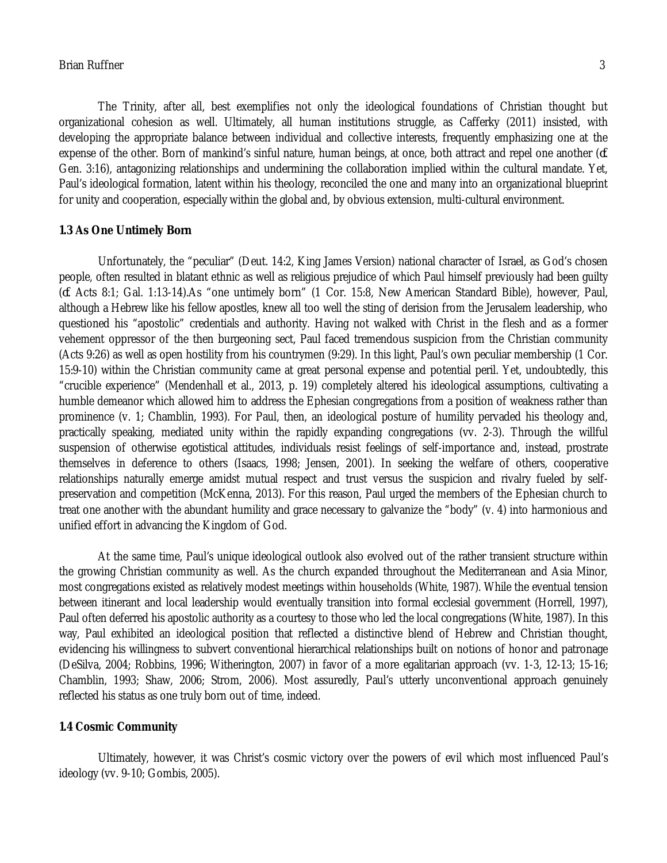The Trinity, after all, best exemplifies not only the ideological foundations of Christian thought but organizational cohesion as well. Ultimately, all human institutions struggle, as Cafferky (2011) insisted, with developing the appropriate balance between individual and collective interests, frequently emphasizing one at the expense of the other. Born of mankind's sinful nature, human beings, at once, both attract and repel one another (*cf*. Gen. 3:16), antagonizing relationships and undermining the collaboration implied within the cultural mandate. Yet, Paul's ideological formation, latent within his theology, reconciled the one and many into an organizational blueprint for unity and cooperation, especially within the global and, by obvious extension, multi-cultural environment.

### **1.3 As One Untimely Born**

Unfortunately, the "peculiar" (Deut. 14:2, King James Version) national character of Israel, as God's chosen people, often resulted in blatant ethnic as well as religious prejudice of which Paul himself previously had been guilty (*cf*. Acts 8:1; Gal. 1:13-14).As "one untimely born" (1 Cor. 15:8, New American Standard Bible), however, Paul, although a Hebrew like his fellow apostles, knew all too well the sting of derision from the Jerusalem leadership, who questioned his "apostolic" credentials and authority. Having not walked with Christ in the flesh and as a former vehement oppressor of the then burgeoning sect, Paul faced tremendous suspicion from the Christian community (Acts 9:26) as well as open hostility from his countrymen (9:29). In this light, Paul's own peculiar membership (1 Cor. 15:9-10) within the Christian community came at great personal expense and potential peril. Yet, undoubtedly, this "crucible experience" (Mendenhall et al., 2013, p. 19) completely altered his ideological assumptions, cultivating a humble demeanor which allowed him to address the Ephesian congregations from a position of weakness rather than prominence (v. 1; Chamblin, 1993). For Paul, then, an ideological posture of humility pervaded his theology and, practically speaking, mediated unity within the rapidly expanding congregations (vv. 2-3). Through the willful suspension of otherwise egotistical attitudes, individuals resist feelings of self-importance and, instead, prostrate themselves in deference to others (Isaacs, 1998; Jensen, 2001). In seeking the welfare of others, cooperative relationships naturally emerge amidst mutual respect and trust versus the suspicion and rivalry fueled by selfpreservation and competition (McKenna, 2013). For this reason, Paul urged the members of the Ephesian church to treat one another with the abundant humility and grace necessary to galvanize the "body" (v. 4) into harmonious and unified effort in advancing the Kingdom of God.

At the same time, Paul's unique ideological outlook also evolved out of the rather transient structure within the growing Christian community as well. As the church expanded throughout the Mediterranean and Asia Minor, most congregations existed as relatively modest meetings within households (White, 1987). While the eventual tension between itinerant and local leadership would eventually transition into formal ecclesial government (Horrell, 1997), Paul often deferred his apostolic authority as a courtesy to those who led the local congregations (White, 1987). In this way, Paul exhibited an ideological position that reflected a distinctive blend of Hebrew and Christian thought, evidencing his willingness to subvert conventional hierarchical relationships built on notions of honor and patronage (DeSilva, 2004; Robbins, 1996; Witherington, 2007) in favor of a more egalitarian approach (vv. 1-3, 12-13; 15-16; Chamblin, 1993; Shaw, 2006; Strom, 2006). Most assuredly, Paul's utterly unconventional approach genuinely reflected his status as one truly born out of time, indeed.

## **1.4 Cosmic Community**

Ultimately, however, it was Christ's cosmic victory over the powers of evil which most influenced Paul's ideology (vv. 9-10; Gombis, 2005).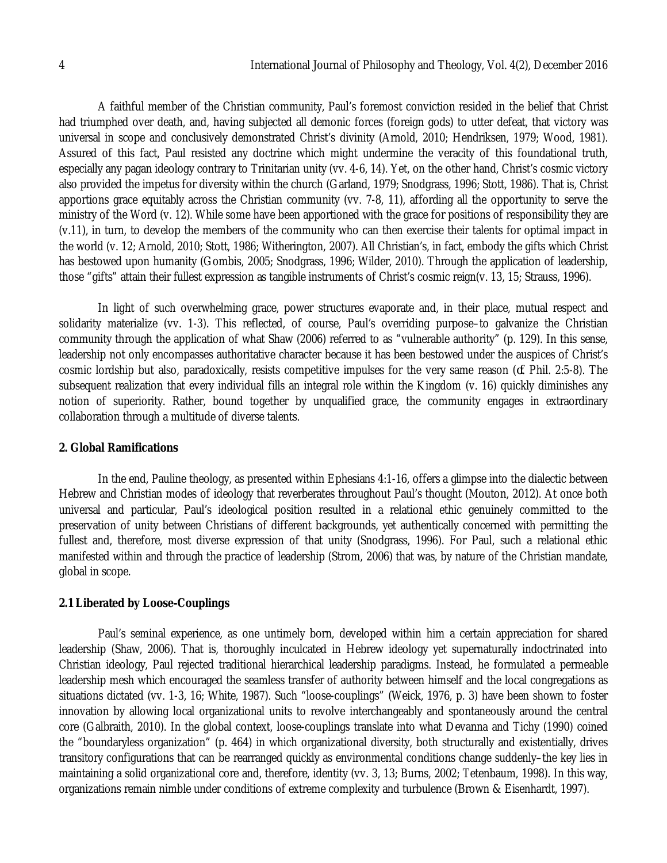A faithful member of the Christian community, Paul's foremost conviction resided in the belief that Christ had triumphed over death, and, having subjected all demonic forces (foreign gods) to utter defeat, that victory was universal in scope and conclusively demonstrated Christ's divinity (Arnold, 2010; Hendriksen, 1979; Wood, 1981). Assured of this fact, Paul resisted any doctrine which might undermine the veracity of this foundational truth, especially any pagan ideology contrary to Trinitarian unity (vv. 4-6, 14). Yet, on the other hand, Christ's cosmic victory also provided the impetus for diversity within the church (Garland, 1979; Snodgrass, 1996; Stott, 1986). That is, Christ apportions grace equitably across the Christian community (vv. 7-8, 11), affording all the opportunity to serve the ministry of the Word (v. 12). While some have been apportioned with the grace for positions of responsibility they are (v.11), in turn, to develop the members of the community who can then exercise their talents for optimal impact in the world (v. 12; Arnold, 2010; Stott, 1986; Witherington, 2007). All Christian's, in fact, embody the gifts which Christ has bestowed upon humanity (Gombis, 2005; Snodgrass, 1996; Wilder, 2010). Through the application of leadership, those "gifts" attain their fullest expression as tangible instruments of Christ's cosmic reign(v. 13, 15; Strauss, 1996).

In light of such overwhelming grace, power structures evaporate and, in their place, mutual respect and solidarity materialize (vv. 1-3). This reflected, of course, Paul's overriding purpose-to galvanize the Christian community through the application of what Shaw (2006) referred to as "vulnerable authority" (p. 129). In this sense, leadership not only encompasses authoritative character because it has been bestowed under the auspices of Christ's cosmic lordship but also, paradoxically, resists competitive impulses for the very same reason (*cf*. Phil. 2:5-8). The subsequent realization that every individual fills an integral role within the Kingdom (v. 16) quickly diminishes any notion of superiority. Rather, bound together by unqualified grace, the community engages in extraordinary collaboration through a multitude of diverse talents.

## **2. Global Ramifications**

In the end, Pauline theology, as presented within Ephesians 4:1-16, offers a glimpse into the dialectic between Hebrew and Christian modes of ideology that reverberates throughout Paul's thought (Mouton, 2012). At once both universal and particular, Paul's ideological position resulted in a relational ethic genuinely committed to the preservation of unity between Christians of different backgrounds, yet authentically concerned with permitting the fullest and, therefore, most diverse expression of that unity (Snodgrass, 1996). For Paul, such a relational ethic manifested within and through the practice of leadership (Strom, 2006) that was, by nature of the Christian mandate, global in scope.

# **2.1 Liberated by Loose-Couplings**

Paul's seminal experience, as one untimely born, developed within him a certain appreciation for shared leadership (Shaw, 2006). That is, thoroughly inculcated in Hebrew ideology yet supernaturally indoctrinated into Christian ideology, Paul rejected traditional hierarchical leadership paradigms. Instead, he formulated a permeable leadership mesh which encouraged the seamless transfer of authority between himself and the local congregations as situations dictated (vv. 1-3, 16; White, 1987). Such "loose-couplings" (Weick, 1976, p. 3) have been shown to foster innovation by allowing local organizational units to revolve interchangeably and spontaneously around the central core (Galbraith, 2010). In the global context, loose-couplings translate into what Devanna and Tichy (1990) coined the "boundaryless organization" (p. 464) in which organizational diversity, both structurally and existentially, drives transitory configurations that can be rearranged quickly as environmental conditions change suddenly–the key lies in maintaining a solid organizational core and, therefore, identity (vv. 3, 13; Burns, 2002; Tetenbaum, 1998). In this way, organizations remain nimble under conditions of extreme complexity and turbulence (Brown & Eisenhardt, 1997).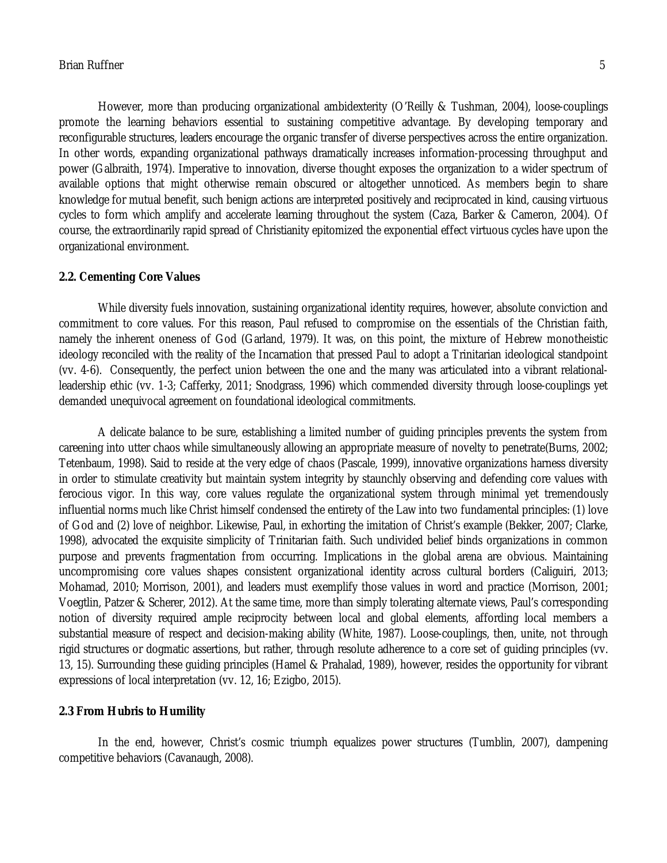However, more than producing organizational ambidexterity (O'Reilly & Tushman, 2004), loose-couplings promote the learning behaviors essential to sustaining competitive advantage. By developing temporary and reconfigurable structures, leaders encourage the organic transfer of diverse perspectives across the entire organization. In other words, expanding organizational pathways dramatically increases information-processing throughput and power (Galbraith, 1974). Imperative to innovation, diverse thought exposes the organization to a wider spectrum of available options that might otherwise remain obscured or altogether unnoticed. As members begin to share knowledge for mutual benefit, such benign actions are interpreted positively and reciprocated in kind, causing virtuous cycles to form which amplify and accelerate learning throughout the system (Caza, Barker & Cameron, 2004). Of course, the extraordinarily rapid spread of Christianity epitomized the exponential effect virtuous cycles have upon the organizational environment.

### **2.2. Cementing Core Values**

While diversity fuels innovation, sustaining organizational identity requires, however, absolute conviction and commitment to core values. For this reason, Paul refused to compromise on the essentials of the Christian faith, namely the inherent oneness of God (Garland, 1979). It was, on this point, the mixture of Hebrew monotheistic ideology reconciled with the reality of the Incarnation that pressed Paul to adopt a Trinitarian ideological standpoint (vv. 4-6). Consequently, the perfect union between the one and the many was articulated into a vibrant relationalleadership ethic (vv. 1-3; Cafferky, 2011; Snodgrass, 1996) which commended diversity through loose-couplings yet demanded unequivocal agreement on foundational ideological commitments.

A delicate balance to be sure, establishing a limited number of guiding principles prevents the system from careening into utter chaos while simultaneously allowing an appropriate measure of novelty to penetrate(Burns, 2002; Tetenbaum, 1998). Said to reside at the very edge of chaos (Pascale, 1999), innovative organizations harness diversity in order to stimulate creativity but maintain system integrity by staunchly observing and defending core values with ferocious vigor. In this way, core values regulate the organizational system through minimal yet tremendously influential norms much like Christ himself condensed the entirety of the Law into two fundamental principles: (1) love of God and (2) love of neighbor. Likewise, Paul, in exhorting the imitation of Christ's example (Bekker, 2007; Clarke, 1998), advocated the exquisite simplicity of Trinitarian faith. Such undivided belief binds organizations in common purpose and prevents fragmentation from occurring. Implications in the global arena are obvious. Maintaining uncompromising core values shapes consistent organizational identity across cultural borders (Caliguiri, 2013; Mohamad, 2010; Morrison, 2001), and leaders must exemplify those values in word and practice (Morrison, 2001; Voegtlin, Patzer & Scherer, 2012). At the same time, more than simply tolerating alternate views, Paul's corresponding notion of diversity required ample reciprocity between local and global elements, affording local members a substantial measure of respect and decision-making ability (White, 1987). Loose-couplings, then, unite, not through rigid structures or dogmatic assertions, but rather, through resolute adherence to a core set of guiding principles (vv. 13, 15). Surrounding these guiding principles (Hamel & Prahalad, 1989), however, resides the opportunity for vibrant expressions of local interpretation (vv. 12, 16; Ezigbo, 2015).

#### **2.3 From Hubris to Humility**

In the end, however, Christ's cosmic triumph equalizes power structures (Tumblin, 2007), dampening competitive behaviors (Cavanaugh, 2008).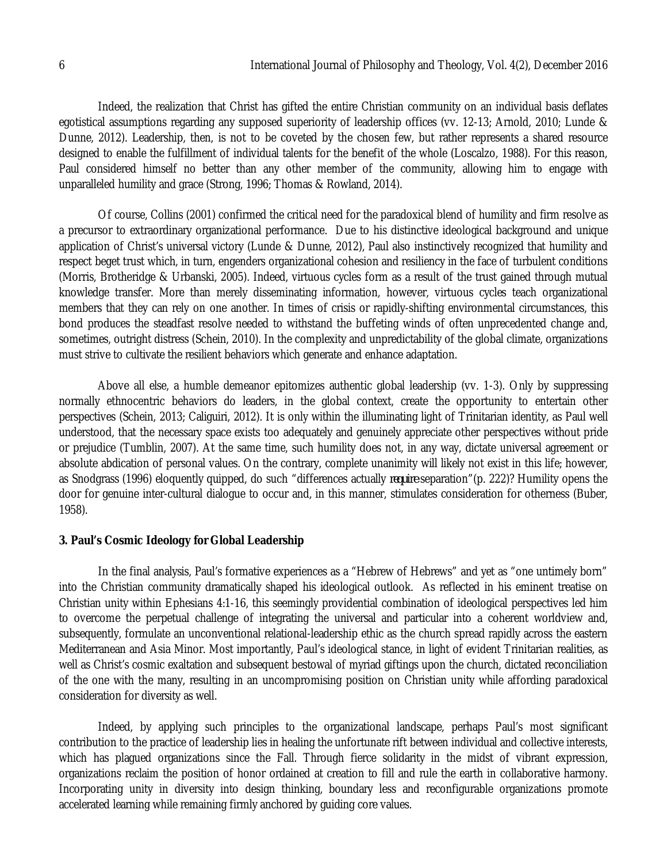Indeed, the realization that Christ has gifted the entire Christian community on an individual basis deflates egotistical assumptions regarding any supposed superiority of leadership offices (vv. 12-13; Arnold, 2010; Lunde & Dunne, 2012). Leadership, then, is not to be coveted by the chosen few, but rather represents a shared resource designed to enable the fulfillment of individual talents for the benefit of the whole (Loscalzo, 1988). For this reason, Paul considered himself no better than any other member of the community, allowing him to engage with unparalleled humility and grace (Strong, 1996; Thomas & Rowland, 2014).

Of course, Collins (2001) confirmed the critical need for the paradoxical blend of humility and firm resolve as a precursor to extraordinary organizational performance. Due to his distinctive ideological background and unique application of Christ's universal victory (Lunde & Dunne, 2012), Paul also instinctively recognized that humility and respect beget trust which, in turn, engenders organizational cohesion and resiliency in the face of turbulent conditions (Morris, Brotheridge & Urbanski, 2005). Indeed, virtuous cycles form as a result of the trust gained through mutual knowledge transfer. More than merely disseminating information, however, virtuous cycles teach organizational members that they can rely on one another. In times of crisis or rapidly-shifting environmental circumstances, this bond produces the steadfast resolve needed to withstand the buffeting winds of often unprecedented change and, sometimes, outright distress (Schein, 2010). In the complexity and unpredictability of the global climate, organizations must strive to cultivate the resilient behaviors which generate and enhance adaptation.

Above all else, a humble demeanor epitomizes authentic global leadership (vv. 1-3). Only by suppressing normally ethnocentric behaviors do leaders, in the global context, create the opportunity to entertain other perspectives (Schein, 2013; Caliguiri, 2012). It is only within the illuminating light of Trinitarian identity, as Paul well understood, that the necessary space exists too adequately and genuinely appreciate other perspectives without pride or prejudice (Tumblin, 2007). At the same time, such humility does not, in any way, dictate universal agreement or absolute abdication of personal values. On the contrary, complete unanimity will likely not exist in this life; however, as Snodgrass (1996) eloquently quipped, do such "differences actually *require* separation"(p. 222)? Humility opens the door for genuine inter-cultural dialogue to occur and, in this manner, stimulates consideration for otherness (Buber, 1958).

### **3. Paul's Cosmic Ideology for Global Leadership**

In the final analysis, Paul's formative experiences as a "Hebrew of Hebrews" and yet as "one untimely born" into the Christian community dramatically shaped his ideological outlook. As reflected in his eminent treatise on Christian unity within Ephesians 4:1-16, this seemingly providential combination of ideological perspectives led him to overcome the perpetual challenge of integrating the universal and particular into a coherent worldview and, subsequently, formulate an unconventional relational-leadership ethic as the church spread rapidly across the eastern Mediterranean and Asia Minor. Most importantly, Paul's ideological stance, in light of evident Trinitarian realities, as well as Christ's cosmic exaltation and subsequent bestowal of myriad giftings upon the church, dictated reconciliation of the one with the many, resulting in an uncompromising position on Christian unity while affording paradoxical consideration for diversity as well.

Indeed, by applying such principles to the organizational landscape, perhaps Paul's most significant contribution to the practice of leadership lies in healing the unfortunate rift between individual and collective interests, which has plagued organizations since the Fall. Through fierce solidarity in the midst of vibrant expression, organizations reclaim the position of honor ordained at creation to fill and rule the earth in collaborative harmony. Incorporating unity in diversity into design thinking, boundary less and reconfigurable organizations promote accelerated learning while remaining firmly anchored by guiding core values.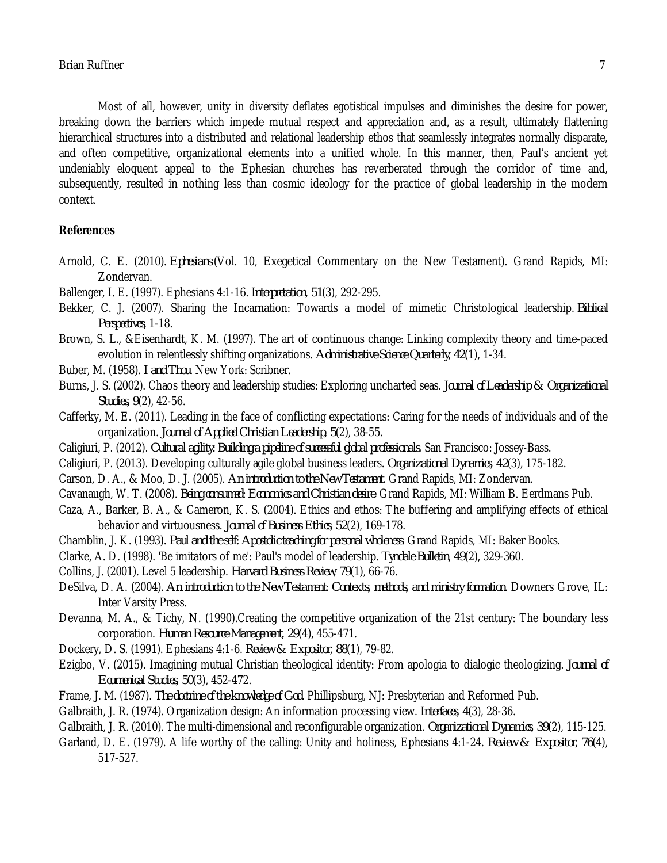Most of all, however, unity in diversity deflates egotistical impulses and diminishes the desire for power, breaking down the barriers which impede mutual respect and appreciation and, as a result, ultimately flattening hierarchical structures into a distributed and relational leadership ethos that seamlessly integrates normally disparate, and often competitive, organizational elements into a unified whole. In this manner, then, Paul's ancient yet undeniably eloquent appeal to the Ephesian churches has reverberated through the corridor of time and, subsequently, resulted in nothing less than cosmic ideology for the practice of global leadership in the modern context.

# **References**

- Arnold, C. E. (2010). *Ephesians* (Vol. 10, Exegetical Commentary on the New Testament). Grand Rapids, MI: Zondervan.
- Ballenger, I. E. (1997). Ephesians 4:1-16. *Interpretation*, *51*(3), 292-295.
- Bekker, C. J. (2007). Sharing the Incarnation: Towards a model of mimetic Christological leadership. *Biblical Perspectives,* 1-18.
- Brown, S. L., &Eisenhardt, K. M. (1997). The art of continuous change: Linking complexity theory and time-paced evolution in relentlessly shifting organizations. *Administrative Science Quarterly*, *42*(1), 1-34.
- Buber, M. (1958). *I and Thou*. New York: Scribner.
- Burns, J. S. (2002). Chaos theory and leadership studies: Exploring uncharted seas. *Journal of Leadership & Organizational Studies, 9*(2), 42-56.
- Cafferky, M. E. (2011). Leading in the face of conflicting expectations: Caring for the needs of individuals and of the organization. *Journal of Applied Christian Leadership*, *5*(2), 38-55.
- Caligiuri, P. (2012). *Cultural agility: Building a pipeline of successful global professionals*. San Francisco: Jossey-Bass.
- Caligiuri, P. (2013). Developing culturally agile global business leaders. *Organizational Dynamics*, *42*(3), 175-182.
- Carson, D. A., & Moo, D. J. (2005). *An introduction to the New Testament*. Grand Rapids, MI: Zondervan.
- Cavanaugh, W. T. (2008). *Being consumed: Economics and Christian desire*. Grand Rapids, MI: William B. Eerdmans Pub.
- Caza, A., Barker, B. A., & Cameron, K. S. (2004). Ethics and ethos: The buffering and amplifying effects of ethical behavior and virtuousness. *Journal of Business Ethics*, *52*(2), 169-178.
- Chamblin, J. K. (1993). *Paul and the self: Apostolic teaching for personal wholeness*. Grand Rapids, MI: Baker Books.
- Clarke, A. D. (1998). 'Be imitators of me': Paul's model of leadership. *Tyndale Bulletin*, *49*(2), 329-360.
- Collins, J. (2001). Level 5 leadership. *Harvard Business Review*, *79*(1), 66-76.
- DeSilva, D. A. (2004). *An introduction to the New Testament: Contexts, methods, and ministry formation*. Downers Grove, IL: Inter Varsity Press.
- Devanna, M. A., & Tichy, N. (1990).Creating the competitive organization of the 21st century: The boundary less corporation. *Human Resource Management*, *29*(4), 455-471.
- Dockery, D. S. (1991). Ephesians 4:1-6. *Review & Expositor*, *88*(1), 79-82.
- Ezigbo, V. (2015). Imagining mutual Christian theological identity: From apologia to dialogic theologizing. *Journal of Ecumenical Studies*, *50*(3), 452-472.
- Frame, J. M. (1987). *The doctrine of the knowledge of God*. Phillipsburg, NJ: Presbyterian and Reformed Pub.
- Galbraith, J. R. (1974). Organization design: An information processing view. *Interfaces*, *4*(3), 28-36.
- Galbraith, J. R. (2010). The multi-dimensional and reconfigurable organization. *Organizational Dynamics*, *39*(2), 115-125.
- Garland, D. E. (1979). A life worthy of the calling: Unity and holiness, Ephesians 4:1-24. *Review & Expositor*, *76*(4), 517-527.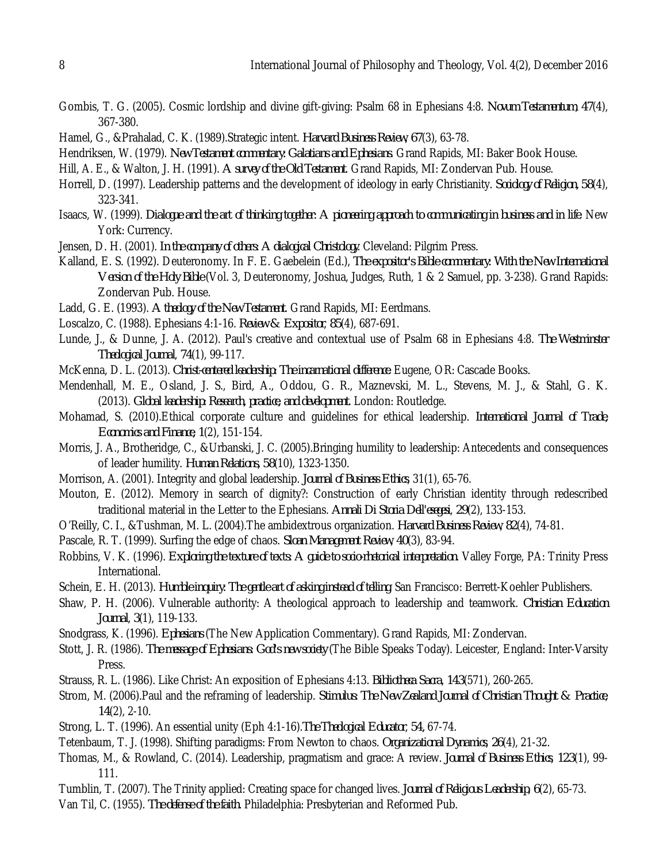- Gombis, T. G. (2005). Cosmic lordship and divine gift-giving: Psalm 68 in Ephesians 4:8. *Novum Testamentum*, *47*(4), 367-380.
- Hamel, G., &Prahalad, C. K. (1989).Strategic intent. *Harvard Business Review*, *67*(3), 63-78.
- Hendriksen, W. (1979). *New Testament commentary: Galatians and Ephesians*. Grand Rapids, MI: Baker Book House.
- Hill, A. E., & Walton, J. H. (1991). *A survey of the Old Testament*. Grand Rapids, MI: Zondervan Pub. House.
- Horrell, D. (1997). Leadership patterns and the development of ideology in early Christianity. *Sociology of Religion, 58*(4), 323-341.
- Isaacs, W. (1999). *Dialogue and the art of thinking together: A pioneering approach to communicating in business and in life*. New York: Currency.
- Jensen, D. H. (2001). *In the company of others: A dialogical Christology*. Cleveland: Pilgrim Press.
- Kalland, E. S. (1992). Deuteronomy. In F. E. Gaebelein (Ed.), *The expositor's Bible commentary: With the New International Version of the Holy Bible* (Vol. 3, Deuteronomy, Joshua, Judges, Ruth, 1 & 2 Samuel, pp. 3-238). Grand Rapids: Zondervan Pub. House.
- Ladd, G. E. (1993). *A theology of the New Testament*. Grand Rapids, MI: Eerdmans.
- Loscalzo, C. (1988). Ephesians 4:1-16. *Review & Expositor*, *85*(4), 687-691.
- Lunde, J., & Dunne, J. A. (2012). Paul's creative and contextual use of Psalm 68 in Ephesians 4:8. *The Westminster Theological Journal*, *74*(1), 99-117.
- McKenna, D. L. (2013). *Christ-centered leadership: The incarnational difference*. Eugene, OR: Cascade Books.
- Mendenhall, M. E., Osland, J. S., Bird, A., Oddou, G. R., Maznevski, M. L., Stevens, M. J., & Stahl, G. K. (2013). *Global leadership: Research, practice, and development*. London: Routledge.
- Mohamad, S. (2010).Ethical corporate culture and guidelines for ethical leadership. *International Journal of Trade, Economics and Finance, 1*(2), 151-154.
- Morris, J. A., Brotheridge, C., &Urbanski, J. C. (2005).Bringing humility to leadership: Antecedents and consequences of leader humility. *Human Relations, 58*(10), 1323-1350.
- Morrison, A. (2001). Integrity and global leadership. *Journal of Business Ethics*, 31(1), 65-76.
- Mouton, E. (2012). Memory in search of dignity?: Construction of early Christian identity through redescribed traditional material in the Letter to the Ephesians. *Annali Di Storia Dell'esegesi*, *29*(2), 133-153.
- O'Reilly, C. I., &Tushman, M. L. (2004).The ambidextrous organization. *Harvard Business Review*, *82*(4), 74-81.
- Pascale, R. T. (1999). Surfing the edge of chaos. *Sloan Management Review*, *40*(3), 83-94.
- Robbins, V. K. (1996). *Exploring the texture of texts: A guide to socio-rhetorical interpretation*. Valley Forge, PA: Trinity Press International.
- Schein, E. H. (2013). *Humble inquiry: The gentle art of asking instead of telling*. San Francisco: Berrett-Koehler Publishers.
- Shaw, P. H. (2006). Vulnerable authority: A theological approach to leadership and teamwork. *Christian Education Journal*, *3*(1), 119-133.
- Snodgrass, K. (1996). *Ephesians* (The New Application Commentary). Grand Rapids, MI: Zondervan.
- Stott, J. R. (1986). *The message of Ephesians: God's new society* (The Bible Speaks Today). Leicester, England: Inter-Varsity Press.
- Strauss, R. L. (1986). Like Christ: An exposition of Ephesians 4:13. *Bibliotheca Sacra*, *143*(571), 260-265.
- Strom, M. (2006).Paul and the reframing of leadership. *Stimulus: The New Zealand Journal of Christian Thought & Practice*, *14*(2), 2-10.
- Strong, L. T. (1996). An essential unity (Eph 4:1-16).*The Theological Educator*, *54,* 67-74.
- Tetenbaum, T. J. (1998). Shifting paradigms: From Newton to chaos. *Organizational Dynamics*, *26*(4), 21-32.
- Thomas, M., & Rowland, C. (2014). Leadership, pragmatism and grace: A review. *Journal of Business Ethics*, *123*(1), 99- 111.
- Tumblin, T. (2007). The Trinity applied: Creating space for changed lives. *Journal of Religious Leadership*, *6*(2), 65-73. Van Til, C. (1955). *The defense of the faith.* Philadelphia: Presbyterian and Reformed Pub.